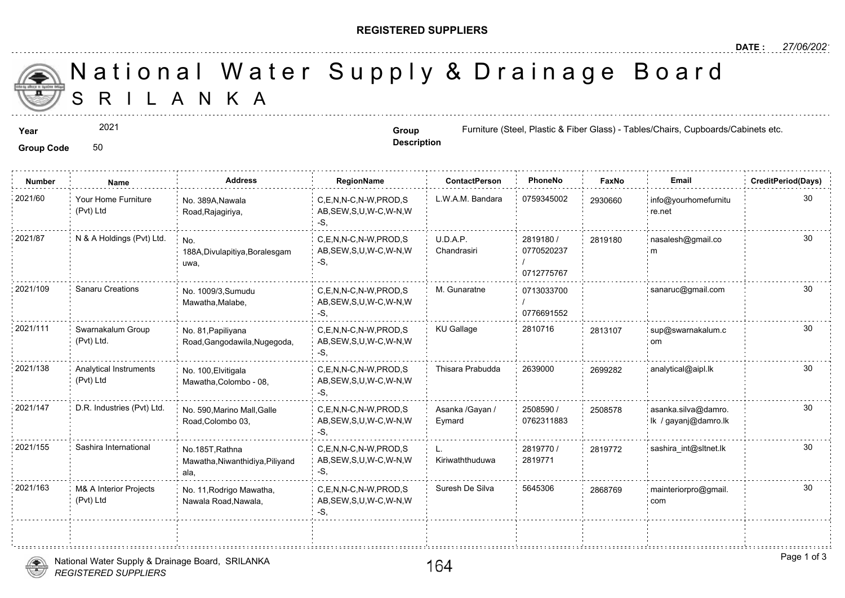### **REGISTERED SUPPLIERS**

**Description**

A N K A National Water Supply & Drainage

#### **Year Group Group Group Group Group Group Eurniture (Steel, Plastic & Fiber Glass**)

### Group Code 50

2021

**Number Name Address RegionName ContactPerson PhoneNo FaxNo Email CreditPeriod(Days)** 2021/60 Your Home Furniture No. 389A,Nawala C,E,N,N-C,N-W,PROD,S L.W.A.M. Bandara 0759345002 293066 AB,SEW,S,U,W-C,W-N,W -S, No. 389A,Nawala Road,Rajagiriya, Your Home Furniture (Pvt) Ltd 29306 2819180 / 0770520237 / 0712775767 U.D.A.P. Chandrasiri 2021/87 N & A Holdings (Pvt) Ltd. <sub>No.</sub> C,E,N,N-C,N-W,PROD,S U.D.A.P. 2819180 / 281918 AB,SEW,S,U,W-C,W-N,W -S, No. 188A,Divulapitiya,Boralesgam uwa, 2819180 0713033700 / 0776691552 C,E,N,N-C,N-W,PROD,S M. Gunaratne 2021/109 Sanaru Creations sanaruc@gmail.com AB,SEW,S,U,W-C,W-N,W -S, No. 1009/3,Sumudu Mawatha,Malabe, 2021/111 Swarnakalum Group No. 81. Papiliyana C,E,N,N-C,N-W,PROD,S KU Gallage 2810716 281310 AB,SEW,S,U,W-C,W-N,W -S, No. 81,Papiliyana Road,Gangodawila,Nugegoda, Swarnakalum Group (Pvt) Ltd. 281310 2021/138 Analytical Instruments No. 100,Elvitigala C,E,N,N-C,N-W,PROD,S Thisara Prabudda 2639000 269928 AB,SEW,S,U,W-C,W-N,W -S, No. 100,Elvitigala Mawatha,Colombo - 08, Analytical Instruments (Pvt) Ltd 2508590 / 0762311883 Asanka /Gayan / Eymard C,E,N,N-C,N-W,PROD,S AB,SEW,S,U,W-C,W-N,W -S, 2021/147 D.R. Industries (Pvt) Ltd. and as and an officialle Marino Mall,Galle C,E,N,N-C,N-W,PROD,S Asanka /Gayan / 2508590 / 250853 Road,Colombo 03, 25085 2819770 / 28197 2819771 L. Kiriwaththuduwa C,E,N,N-C,N-W,PROD,S 2021/155 Sashira International 2819772 sashira\_int@sltnet.lk AB,SEW,S,U,W-C,W-N,W -S, No.185T,Rathna Mawatha,Niwanthidiya,Piliyand ala, C,E,N,N-C,N-W,PROD,S Suresh De Silva 5645306 AB,SEW,S,U,W-C,W-N,W -S, 2021/163 M& A Interior Projects No. 11,Rodrigo Mawatha, C,E,N,N-C,N-W,PROD,S Suresh De Silva 5645306 286876 Nawala Road,Nawala, M& A Interior Projects (Pvt) Ltd 286876

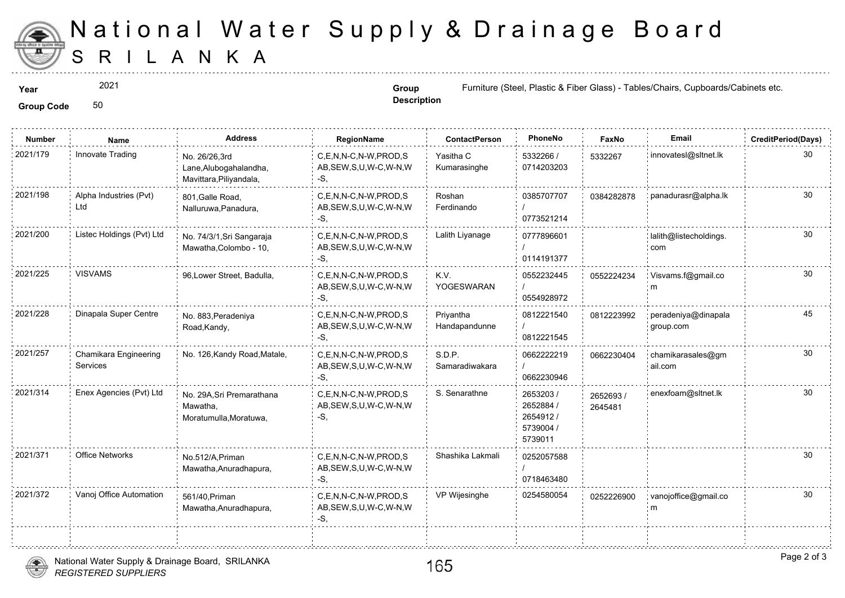

# S R I L A N K A National Water Supply & Drainage

2021

**Description**

**Year Group Group Group Group Group Eurniture (Steel, Plastic & Fiber Glass**)

Group Code 50

| <b>Number</b> | Name                              | <b>Address</b>                                                     | RegionName                                                   | <b>ContactPerson</b>       | PhoneNo                                                    | Faxl             |
|---------------|-----------------------------------|--------------------------------------------------------------------|--------------------------------------------------------------|----------------------------|------------------------------------------------------------|------------------|
| 2021/179      | Innovate Trading                  | No. 26/26,3rd<br>Lane, Alubogahalandha,<br>Mavittara, Piliyandala, | C,E,N,N-C,N-W,PROD,S<br>AB, SEW, S, U, W-C, W-N, W<br>-S.    | Yasitha C<br>Kumarasinghe  | 5332266 /<br>0714203203                                    | 533226           |
| 2021/198      | Alpha Industries (Pvt)<br>Ltd     | 801. Galle Road.<br>Nalluruwa, Panadura,                           | C,E,N,N-C,N-W,PROD,S<br>AB, SEW, S, U, W-C, W-N, W<br>-S.    | Roshan<br>Ferdinando       | 0385707707<br>0773521214                                   | 038428           |
| 2021/200      | Listec Holdings (Pvt) Ltd         | No. 74/3/1, Sri Sangaraja<br>Mawatha, Colombo - 10,                | C,E,N,N-C,N-W,PROD,S<br>AB, SEW, S, U, W-C, W-N, W<br>-S,    | Lalith Liyanage            | 0777896601<br>0114191377                                   |                  |
| 2021/225      | <b>VISVAMS</b>                    | 96, Lower Street, Badulla,                                         | C,E,N,N-C,N-W,PROD,S<br>AB, SEW, S, U, W-C, W-N, W<br>-S.    | K.V.<br>YOGESWARAN         | 0552232445<br>0554928972                                   | 055222           |
| 2021/228      | Dinapala Super Centre             | No. 883, Peradeniya<br>Road, Kandy,                                | C.E.N.N-C.N-W.PROD.S<br>AB, SEW, S, U, W-C, W-N, W<br>-S.    | Privantha<br>Handapandunne | 0812221540<br>0812221545                                   | 081222           |
| 2021/257      | Chamikara Engineering<br>Services | No. 126, Kandy Road, Matale,                                       | C.E.N.N-C.N-W.PROD.S<br>AB, SEW, S, U, W-C, W-N, W<br>-S.    | S.D.P.<br>Samaradiwakara   | 0662222219<br>0662230946                                   | 066223           |
| 2021/314      | Enex Agencies (Pvt) Ltd           | No. 29A, Sri Premarathana<br>Mawatha,<br>Moratumulla, Moratuwa,    | C.E.N.N-C.N-W.PROD.S<br>AB, SEW, S, U, W-C, W-N, W<br>$-S$ . | S. Senarathne              | 2653203 /<br>2652884 /<br>2654912/<br>5739004 /<br>5739011 | 265269<br>264548 |
| 2021/371      | <b>Office Networks</b>            | No.512/A, Priman<br>Mawatha, Anuradhapura,                         | C.E.N.N-C.N-W.PROD.S<br>AB, SEW, S, U, W-C, W-N, W<br>-S,    | Shashika Lakmali           | 0252057588<br>0718463480                                   |                  |
| 2021/372      | Vanoj Office Automation           | 561/40, Priman<br>Mawatha, Anuradhapura,                           | C.E.N.N-C.N-W.PROD.S<br>AB, SEW, S, U, W-C, W-N, W<br>-S.    | VP Wijesinghe              | 0254580054                                                 | 025222           |
|               |                                   |                                                                    |                                                              |                            |                                                            |                  |



.<br>1919 - Paul Barbara, prima politikar politikar politikar